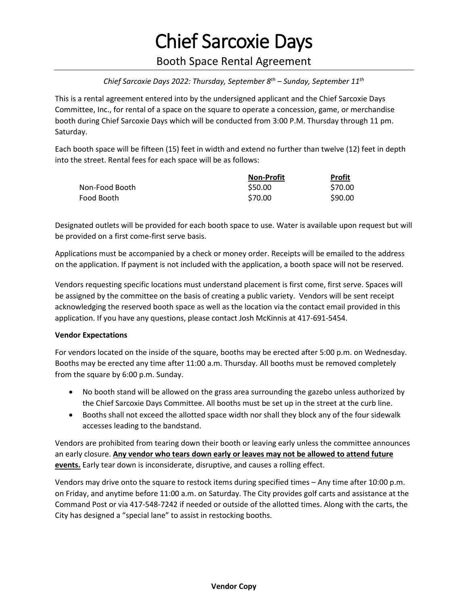## Chief Sarcoxie Days

### Booth Space Rental Agreement

### *Chief Sarcoxie Days 2022: Thursday, September 8th – Sunday, September 11th*

This is a rental agreement entered into by the undersigned applicant and the Chief Sarcoxie Days Committee, Inc., for rental of a space on the square to operate a concession, game, or merchandise booth during Chief Sarcoxie Days which will be conducted from 3:00 P.M. Thursday through 11 pm. Saturday.

Each booth space will be fifteen (15) feet in width and extend no further than twelve (12) feet in depth into the street. Rental fees for each space will be as follows:

|                | <b>Non-Profit</b> | <b>Profit</b> |
|----------------|-------------------|---------------|
| Non-Food Booth | \$50.00           | \$70.00       |
| Food Booth     | \$70.00           | \$90.00       |

Designated outlets will be provided for each booth space to use. Water is available upon request but will be provided on a first come-first serve basis.

Applications must be accompanied by a check or money order. Receipts will be emailed to the address on the application. If payment is not included with the application, a booth space will not be reserved.

Vendors requesting specific locations must understand placement is first come, first serve. Spaces will be assigned by the committee on the basis of creating a public variety. Vendors will be sent receipt acknowledging the reserved booth space as well as the location via the contact email provided in this application. If you have any questions, please contact Josh McKinnis at 417-691-5454.

#### **Vendor Expectations**

For vendors located on the inside of the square, booths may be erected after 5:00 p.m. on Wednesday. Booths may be erected any time after 11:00 a.m. Thursday. All booths must be removed completely from the square by 6:00 p.m. Sunday.

- No booth stand will be allowed on the grass area surrounding the gazebo unless authorized by the Chief Sarcoxie Days Committee. All booths must be set up in the street at the curb line.
- Booths shall not exceed the allotted space width nor shall they block any of the four sidewalk accesses leading to the bandstand.

Vendors are prohibited from tearing down their booth or leaving early unless the committee announces an early closure. **Any vendor who tears down early or leaves may not be allowed to attend future events.** Early tear down is inconsiderate, disruptive, and causes a rolling effect.

Vendors may drive onto the square to restock items during specified times – Any time after 10:00 p.m. on Friday, and anytime before 11:00 a.m. on Saturday. The City provides golf carts and assistance at the Command Post or via 417-548-7242 if needed or outside of the allotted times. Along with the carts, the City has designed a "special lane" to assist in restocking booths.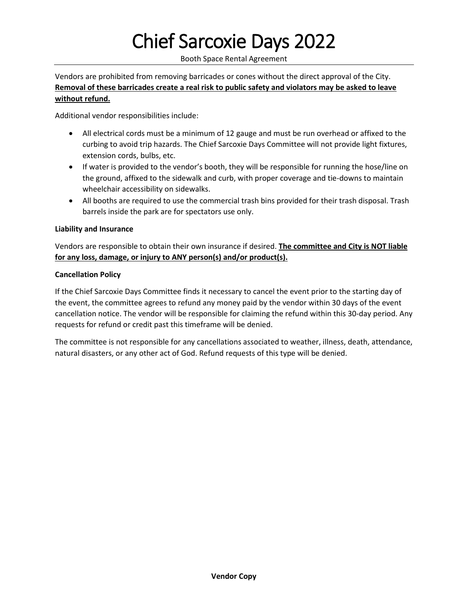# Chief Sarcoxie Days 2022

Booth Space Rental Agreement

Vendors are prohibited from removing barricades or cones without the direct approval of the City. **Removal of these barricades create a real risk to public safety and violators may be asked to leave without refund.**

Additional vendor responsibilities include:

- All electrical cords must be a minimum of 12 gauge and must be run overhead or affixed to the curbing to avoid trip hazards. The Chief Sarcoxie Days Committee will not provide light fixtures, extension cords, bulbs, etc.
- If water is provided to the vendor's booth, they will be responsible for running the hose/line on the ground, affixed to the sidewalk and curb, with proper coverage and tie-downs to maintain wheelchair accessibility on sidewalks.
- All booths are required to use the commercial trash bins provided for their trash disposal. Trash barrels inside the park are for spectators use only.

### **Liability and Insurance**

Vendors are responsible to obtain their own insurance if desired. **The committee and City is NOT liable for any loss, damage, or injury to ANY person(s) and/or product(s).**

### **Cancellation Policy**

If the Chief Sarcoxie Days Committee finds it necessary to cancel the event prior to the starting day of the event, the committee agrees to refund any money paid by the vendor within 30 days of the event cancellation notice. The vendor will be responsible for claiming the refund within this 30-day period. Any requests for refund or credit past this timeframe will be denied.

The committee is not responsible for any cancellations associated to weather, illness, death, attendance, natural disasters, or any other act of God. Refund requests of this type will be denied.